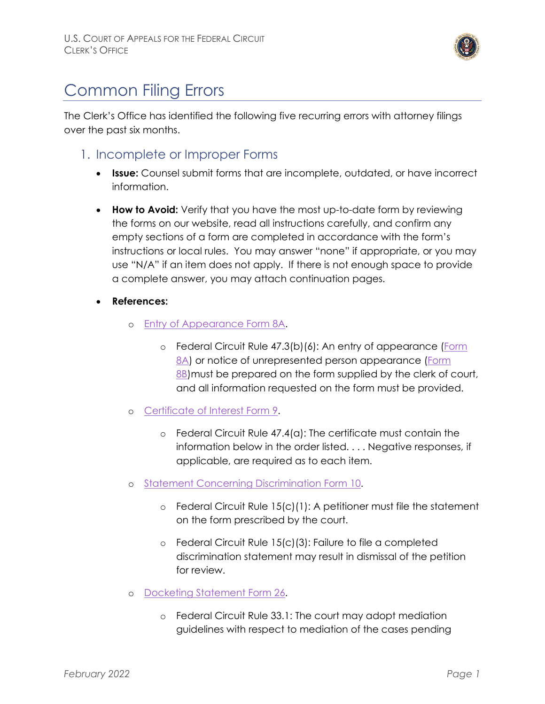

# Common Filing Errors

The Clerk's Office has identified the following five recurring errors with attorney filings over the past six months.

- 1. Incomplete or Improper Forms
	- **Issue:** Counsel submit forms that are incomplete, outdated, or have incorrect information.
	- **How to Avoid:** Verify that you have the most up-to-date form by reviewing the forms on our website, read all instructions carefully, and confirm any empty sections of a form are completed in accordance with the form's instructions or local rules. You may answer "none" if appropriate, or you may use "N/A" if an item does not apply. If there is not enough space to provide a complete answer, you may attach continuation pages.
	- **References:** 
		- o [Entry of Appearance Form](https://cafc.uscourts.gov/wp-content/uploads/form8a.pdf) 8A.
			- o Federal Circuit Rule 47.3(b)(6): An entry of appearance [\(Form](https://cafc.uscourts.gov/wp-content/uploads/form8a.pdf)  [8A\)](https://cafc.uscourts.gov/wp-content/uploads/form8a.pdf) or notice of unrepresented person appearance (Form [8B\)](https://cafc.uscourts.gov/wp-content/uploads/form8b.pdf) must be prepared on the form supplied by the clerk of court, and all information requested on the form must be provided.
		- o [Certificate of Interest](https://cafc.uscourts.gov/wp-content/uploads/form9.pdf) Form 9.
			- o Federal Circuit Rule 47.4(a): The certificate must contain the information below in the order listed. . . . Negative responses, if applicable, are required as to each item.
		- o [Statement Concerning Discrimination Form 10.](https://cafc.uscourts.gov/wp-content/uploads/form10.pdf)
			- o Federal Circuit Rule 15(c)(1): A petitioner must file the statement on the form prescribed by the court.
			- o Federal Circuit Rule 15(c)(3): Failure to file a completed discrimination statement may result in dismissal of the petition for review.
		- o [Docketing Statement Form 26.](https://cafc.uscourts.gov/wp-content/uploads/form26.pdf)
			- o Federal Circuit Rule 33.1: The court may adopt mediation guidelines with respect to mediation of the cases pending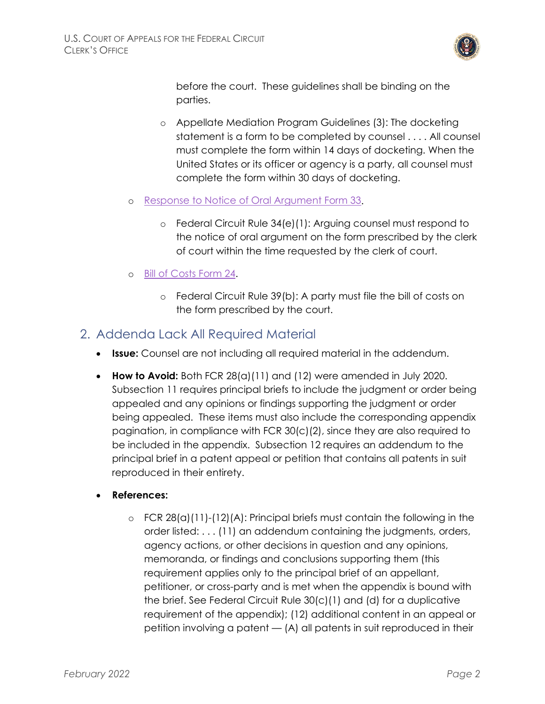

before the court. These guidelines shall be binding on the parties.

- o Appellate Mediation Program Guidelines (3): The docketing statement is a form to be completed by counsel . . . . All counsel must complete the form within 14 days of docketing. When the United States or its officer or agency is a party, all counsel must complete the form within 30 days of docketing.
- o [Response to Notice of Oral Argument Form 33.](https://cafc.uscourts.gov/wp-content/uploads/form33.pdf)
	- o Federal Circuit Rule 34(e)(1): Arguing counsel must respond to the notice of oral argument on the form prescribed by the clerk of court within the time requested by the clerk of court.
- o [Bill of Costs Form](https://cafc.uscourts.gov/wp-content/uploads/form24.pdf) 24.
	- o Federal Circuit Rule 39(b): A party must file the bill of costs on the form prescribed by the court.

#### 2. Addenda Lack All Required Material

- **Issue:** Counsel are not including all required material in the addendum.
- **How to Avoid:** Both FCR 28(a)(11) and (12) were amended in July 2020. Subsection 11 requires principal briefs to include the judgment or order being appealed and any opinions or findings supporting the judgment or order being appealed. These items must also include the corresponding appendix pagination, in compliance with FCR 30(c)(2), since they are also required to be included in the appendix. Subsection 12 requires an addendum to the principal brief in a patent appeal or petition that contains all patents in suit reproduced in their entirety.
- **References:**
	- $\circ$  FCR 28(a)(11)-(12)(A): Principal briefs must contain the following in the order listed: . . . (11) an addendum containing the judgments, orders, agency actions, or other decisions in question and any opinions, memoranda, or findings and conclusions supporting them (this requirement applies only to the principal brief of an appellant, petitioner, or cross-party and is met when the appendix is bound with the brief. See Federal Circuit Rule 30(c)(1) and (d) for a duplicative requirement of the appendix); (12) additional content in an appeal or petition involving a patent — (A) all patents in suit reproduced in their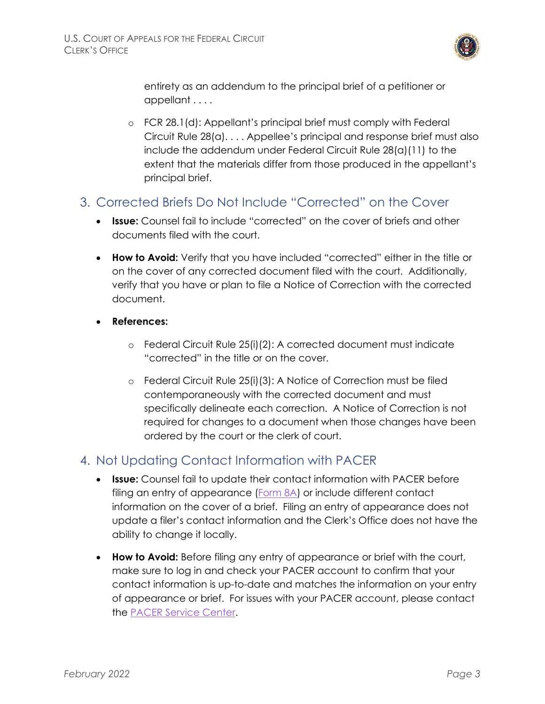

entirety as an addendum to the principal brief of a petitioner or appellant . . . .

o FCR 28.1(d): Appellant's principal brief must comply with Federal Circuit Rule 28(a). . . . Appellee's principal and response brief must also include the addendum under Federal Circuit Rule 28(a)(11) to the extent that the materials differ from those produced in the appellant's principal brief.

## 3. Corrected Briefs Do Not Include "Corrected" on the Cover

- **Issue:** Counsel fail to include "corrected" on the cover of briefs and other documents filed with the court.
- **How to Avoid:** Verify that you have included "corrected" either in the title or on the cover of any corrected document filed with the court. Additionally, verify that you have or plan to file a Notice of Correction with the corrected document.
- **References:**
	- o Federal Circuit Rule 25(i)(2): A corrected document must indicate "corrected" in the title or on the cover.
	- o Federal Circuit Rule 25(i)(3): A Notice of Correction must be filed contemporaneously with the corrected document and must specifically delineate each correction. A Notice of Correction is not required for changes to a document when those changes have been ordered by the court or the clerk of court.

### 4. Not Updating Contact Information with PACER

- **Issue:** Counsel fail to update their contact information with PACER before filing an entry of appearance [\(Form 8A\)](https://cafc.uscourts.gov/wp-content/uploads/form8a.pdf) or include different contact information on the cover of a brief. Filing an entry of appearance does not update a filer's contact information and the Clerk's Office does not have the ability to change it locally.
- **How to Avoid:** Before filing any entry of appearance or brief with the court, make sure to log in and check your PACER account to confirm that your contact information is up-to-date and matches the information on your entry of appearance or brief. For issues with your PACER account, please contact the [PACER Service Center.](https://pacer.uscourts.gov/contact-us)